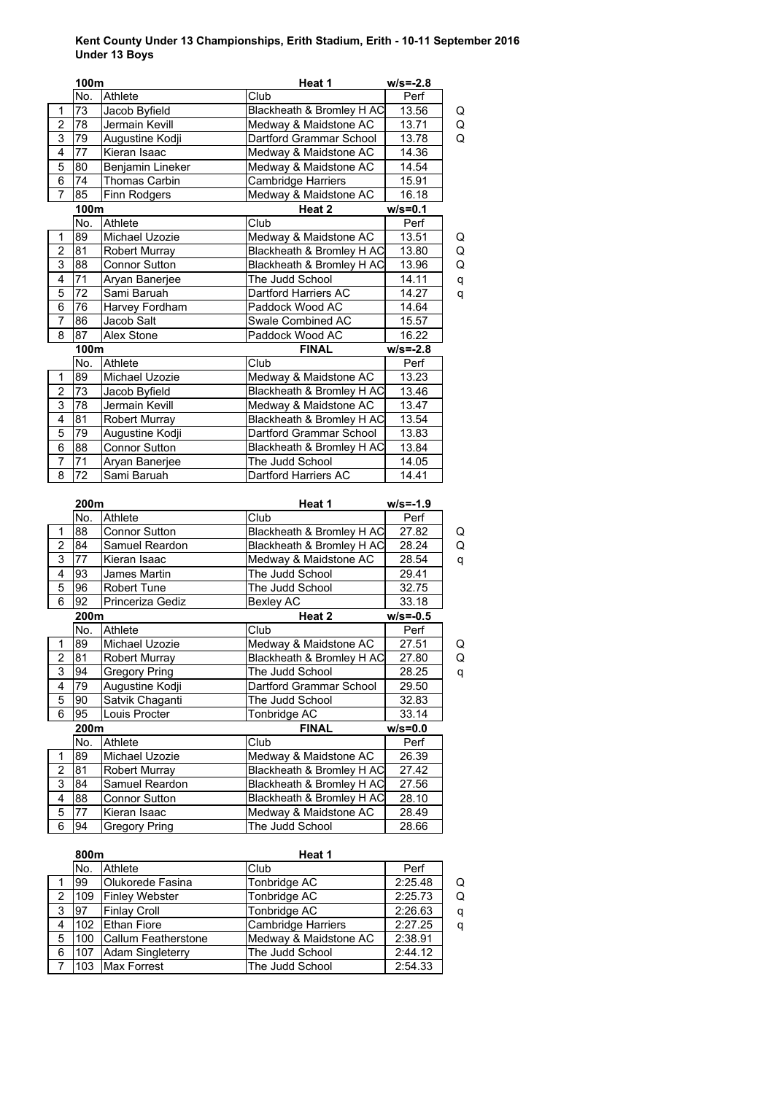## **Kent County Under 13 Championships, Erith Stadium, Erith - 10-11 September 2016 Under 13 Boys**

|                         | 100m            |                      | Heat 1                    | $w/s = -2.8$ |
|-------------------------|-----------------|----------------------|---------------------------|--------------|
|                         | No.             | Athlete              | Club                      | Perf         |
| 1                       | 73              | Jacob Byfield        | Blackheath & Bromley H AC | 13.56<br>Q   |
| $\overline{2}$          | 78              | Jermain Kevill       | Medway & Maidstone AC     | 13.71<br>Q   |
| 3                       | 79              | Augustine Kodji      | Dartford Grammar School   | 13.78<br>Q   |
| $\overline{4}$          | 77              | Kieran Isaac         | Medway & Maidstone AC     | 14.36        |
| $\overline{5}$          | 80              | Benjamin Lineker     | Medway & Maidstone AC     | 14.54        |
| 6                       | 74              | Thomas Carbin        | Cambridge Harriers        | 15.91        |
| $\overline{7}$          | 85              | Finn Rodgers         | Medway & Maidstone AC     | 16.18        |
|                         | 100m            |                      | Heat 2                    | $w/s = 0.1$  |
|                         | No.             | Athlete              | Club                      | Perf         |
| $\mathbf{1}$            | 89              | Michael Uzozie       | Medway & Maidstone AC     | 13.51<br>Q   |
| $\overline{c}$          | 81              | Robert Murray        | Blackheath & Bromley H AC | 13.80<br>Q   |
| $\overline{3}$          | 88              | <b>Connor Sutton</b> | Blackheath & Bromley H AC | 13.96<br>Q   |
| $\overline{4}$          | $\overline{71}$ | Aryan Banerjee       | The Judd School           | 14.11<br>q   |
| 5                       | $\overline{72}$ | Sami Baruah          | Dartford Harriers AC      | 14.27<br>q   |
| 6                       | $\overline{76}$ | Harvey Fordham       | Paddock Wood AC           | 14.64        |
| 7                       | 86              | Jacob Salt           | Swale Combined AC         | 15.57        |
| $\overline{8}$          | $\overline{87}$ | Alex Stone           | Paddock Wood AC           | 16.22        |
|                         | 100m            |                      | <b>FINAL</b>              | $w/s = -2.8$ |
|                         | No.             | Athlete              | Club                      | Perf         |
| $\mathbf{1}$            | 89              | Michael Uzozie       | Medway & Maidstone AC     | 13.23        |
| 2                       | 73              | Jacob Byfield        | Blackheath & Bromley H AC | 13.46        |
| $\overline{3}$          | 78              | Jermain Kevill       | Medway & Maidstone AC     | 13.47        |
| 4                       | 81              | <b>Robert Murray</b> | Blackheath & Bromley H AC | 13.54        |
| 5                       | 79              | Augustine Kodji      | Dartford Grammar School   | 13.83        |
| 6                       | 88              | Connor Sutton        | Blackheath & Bromley H AC | 13.84        |
| 7                       | 71              | Aryan Banerjee       | The Judd School           | 14.05        |
| $\overline{8}$          | 72              | Sami Baruah          | Dartford Harriers AC      | 14.41        |
|                         |                 |                      |                           |              |
|                         | 200m            |                      | Heat 1                    | $w/s = -1.9$ |
|                         | No.             | Athlete              | Club                      | Perf         |
| 1                       | 88              | <b>Connor Sutton</b> | Blackheath & Bromley H AC | 27.82<br>Q   |
| $\overline{c}$          | 84              | Samuel Reardon       | Blackheath & Bromley H AC | 28.24<br>Q   |
| 3                       | 77              | Kieran Isaac         | Medway & Maidstone AC     | 28.54<br>q   |
| $\overline{4}$          | 93              | James Martin         | The Judd School           | 29.41        |
| 5                       | 96              | Robert Tune          | The Judd School           | 32.75        |
| 6                       | 92              | Princeriza Gediz     | <b>Bexley AC</b>          | 33.18        |
|                         | 200m            |                      | Heat 2                    | $w/s = -0.5$ |
|                         | No.             | Athlete              | Club                      | Perf         |
| $\mathbf{1}$            | 89              | Michael Uzozie       | Medway & Maidstone AC     | 27.51<br>Q   |
| $\overline{\mathbf{c}}$ | 81              | <b>Robert Murray</b> | Blackheath & Bromley H AC | 27.80<br>Q   |
| 3                       | 94              | <b>Gregory Pring</b> | The Judd School           | 28.25<br>q   |
| 4                       | 79              | Augustine Kodji      | Dartford Grammar School   | 29.50        |
| 5                       | 90              | Satvik Chaganti      | The Judd School           | 32.83        |
| 6                       | 95              | Louis Procter        | Tonbridge AC              | 33.14        |
|                         | 200m            |                      | <b>FINAL</b>              | $w/s = 0.0$  |
|                         | No.             | Athlete              | Club                      | Perf         |
| 1                       | 89              | Michael Uzozie       | Medway & Maidstone AC     | 26.39        |
| $\overline{c}$          | 81              | <b>Robert Murray</b> | Blackheath & Bromley H AC | 27.42        |
| 3                       | 84              | Samuel Reardon       | Blackheath & Bromley H AC | 27.56        |
| 4                       | 88              | Connor Sutton        | Blackheath & Bromley H AC | 28.10        |
| 5                       | 77              | Kieran Isaac         | Medway & Maidstone AC     | 28.49        |
| $\overline{6}$          | 94              |                      | The Judd School           |              |

|   | 800m             |                         | Heat 1                    |         |   |
|---|------------------|-------------------------|---------------------------|---------|---|
|   | No.              | <b>Athlete</b>          | Club                      | Perf    |   |
|   | 99               | <b>Olukorede Fasina</b> | Tonbridge AC              | 2:25.48 | Q |
| 2 | 109              | <b>Finley Webster</b>   | Tonbridge AC              | 2:25.73 | Q |
| 3 | 97               | <b>Finlay Croll</b>     | Tonbridge AC              | 2:26.63 | q |
| 4 | 102 <sub>1</sub> | <b>Ethan Fiore</b>      | <b>Cambridge Harriers</b> | 2:27.25 | q |
| 5 | 100              | Callum Featherstone     | Medway & Maidstone AC     | 2:38.91 |   |
| 6 | 107              | <b>Adam Singleterry</b> | The Judd School           | 2:44.12 |   |
|   | 103              | <b>Max Forrest</b>      | The Judd School           | 2:54.33 |   |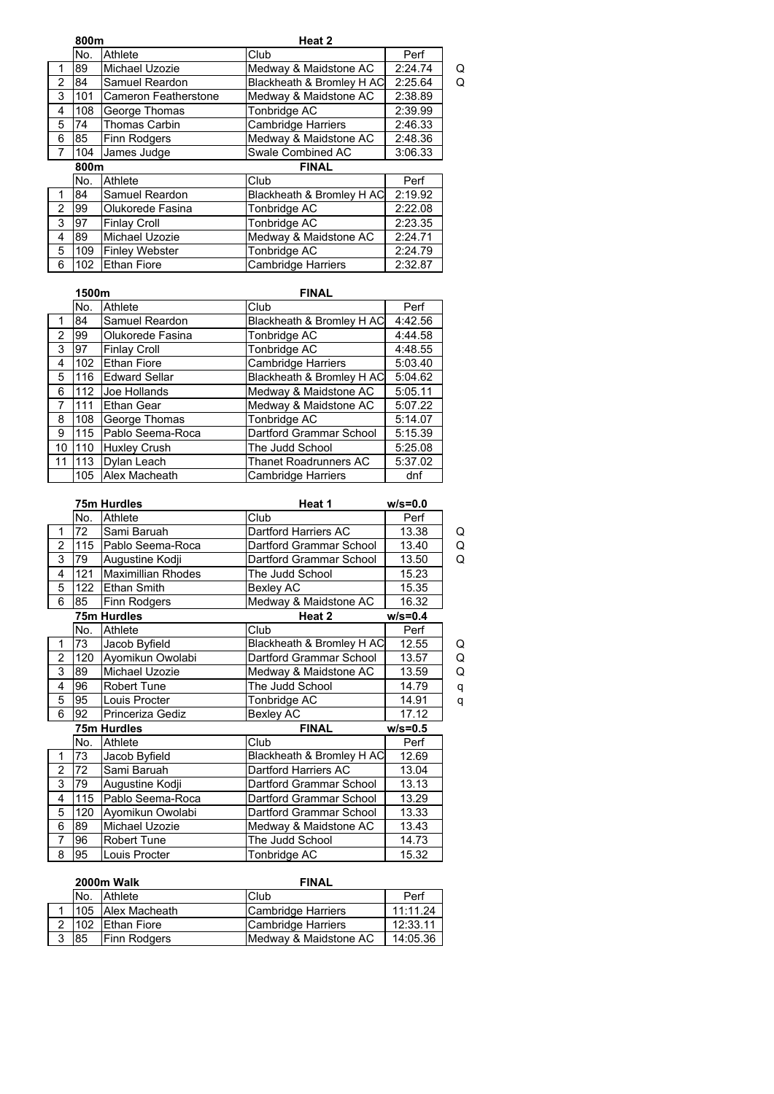|                | 800m                 |                       | Heat 2                    |         |   |
|----------------|----------------------|-----------------------|---------------------------|---------|---|
|                | No.                  | Athlete               | Club                      | Perf    |   |
| 1              | 89                   | Michael Uzozie        | Medway & Maidstone AC     | 2:24.74 | Q |
| $\overline{2}$ | 84                   | Samuel Reardon        | Blackheath & Bromley H AC | 2:25.64 | Q |
| 3              | 101                  | Cameron Featherstone  | Medway & Maidstone AC     | 2:38.89 |   |
| 4              | 108                  | George Thomas         | Tonbridge AC              | 2:39.99 |   |
| 5              | 74                   | <b>Thomas Carbin</b>  | <b>Cambridge Harriers</b> | 2:46.33 |   |
| 6              | 85                   | <b>Finn Rodgers</b>   | Medway & Maidstone AC     | 2:48.36 |   |
| $\overline{7}$ | 104                  | James Judge           | Swale Combined AC         | 3:06.33 |   |
|                | 800m<br><b>FINAL</b> |                       |                           |         |   |
|                | No.                  | Athlete               | Club                      | Perf    |   |
| 1              | 84                   | Samuel Reardon        | Blackheath & Bromley H AC | 2:19.92 |   |
| $\overline{2}$ | 99                   | Olukorede Fasina      | Tonbridge AC              | 2:22.08 |   |
| 3              | 97                   | <b>Finlay Croll</b>   | Tonbridge AC              | 2:23.35 |   |
| 4              | 89                   | Michael Uzozie        | Medway & Maidstone AC     | 2:24.71 |   |
| 5              | 109                  | <b>Finley Webster</b> | Tonbridge AC              | 2:24.79 |   |
| 6              | 102                  | <b>Ethan Fiore</b>    | <b>Cambridge Harriers</b> | 2:32.87 |   |

|    | 1500m |                      | <b>FINAL</b>              |         |
|----|-------|----------------------|---------------------------|---------|
|    | No.   | Athlete              | Club                      | Perf    |
|    | 84    | Samuel Reardon       | Blackheath & Bromley H AC | 4:42.56 |
| 2  | 99    | Olukorede Fasina     | Tonbridge AC              | 4:44.58 |
| 3  | 97    | <b>Finlay Croll</b>  | Tonbridge AC              | 4:48.55 |
| 4  | 102   | <b>Ethan Fiore</b>   | <b>Cambridge Harriers</b> | 5:03.40 |
| 5  | 116   | <b>Edward Sellar</b> | Blackheath & Bromley H AC | 5:04.62 |
| 6  | 112   | Joe Hollands         | Medway & Maidstone AC     | 5:05.11 |
| 7  | 111   | Ethan Gear           | Medway & Maidstone AC     | 5:07.22 |
| 8  | 108   | George Thomas        | Tonbridge AC              | 5:14.07 |
| 9  | 115   | Pablo Seema-Roca     | Dartford Grammar School   | 5:15.39 |
| 10 | 110   | Huxley Crush         | The Judd School           | 5:25.08 |
| 11 | 113   | Dylan Leach          | Thanet Roadrunners AC     | 5:37.02 |
|    |       | 105 Alex Macheath    | Cambridge Harriers        | dnf     |

|                |     | 75m Hurdles               | Heat 1                    | $w/s = 0.0$ |   |
|----------------|-----|---------------------------|---------------------------|-------------|---|
|                | No. | Athlete                   | Club                      | Perf        |   |
| 1              | 72  | Sami Baruah               | Dartford Harriers AC      | 13.38       | Q |
| $\overline{2}$ | 115 | Pablo Seema-Roca          | Dartford Grammar School   | 13.40       | Q |
| 3              | 79  | Augustine Kodji           | Dartford Grammar School   | 13.50       | Q |
| 4              | 121 | <b>Maximillian Rhodes</b> | The Judd School           | 15.23       |   |
| 5              | 122 | <b>Ethan Smith</b>        | Bexley AC                 | 15.35       |   |
| 6              | 85  | Finn Rodgers              | Medway & Maidstone AC     | 16.32       |   |
|                |     | 75m Hurdles               | Heat 2                    | $w/s = 0.4$ |   |
|                | No. | Athlete                   | Club                      | Perf        |   |
| 1              | 73  | Jacob Byfield             | Blackheath & Bromley H AC | 12.55       | Q |
| $\overline{2}$ | 120 | Ayomikun Owolabi          | Dartford Grammar School   | 13.57       | Q |
| 3              | 89  | Michael Uzozie            | Medway & Maidstone AC     | 13.59       | Q |
| 4              | 96  | <b>Robert Tune</b>        | The Judd School           | 14.79       | q |
| 5              | 95  | Louis Procter             | Tonbridge AC              | 14.91       | q |
| 6              | 92  | Princeriza Gediz          | Bexley AC                 | 17.12       |   |
|                |     | 75m Hurdles               | <b>FINAL</b>              | $w/s = 0.5$ |   |
|                | No. | Athlete                   | Club                      | Perf        |   |
| 1              | 73  | Jacob Byfield             | Blackheath & Bromley H AC | 12.69       |   |
| $\overline{2}$ | 72  | Sami Baruah               | Dartford Harriers AC      | 13.04       |   |
| 3              | 79  | Augustine Kodji           | Dartford Grammar School   | 13.13       |   |
| 4              | 115 | Pablo Seema-Roca          | Dartford Grammar School   | 13.29       |   |
| 5              | 120 | Ayomikun Owolabi          | Dartford Grammar School   | 13.33       |   |
| 6              | 89  | Michael Uzozie            | Medway & Maidstone AC     | 13.43       |   |
| $\overline{7}$ | 96  | <b>Robert Tune</b>        | The Judd School           | 14.73       |   |
| 8              | 95  | Louis Procter             | Tonbridge AC              | 15.32       |   |
|                |     |                           |                           |             |   |

|   | 2000m Walk |                     | <b>FINAL</b>          |          |
|---|------------|---------------------|-----------------------|----------|
|   | No.        | <b>Athlete</b>      | <b>Club</b>           | Perf     |
|   |            | 105 Alex Macheath   | Cambridge Harriers    | 11:11.24 |
| 2 |            | 102 Ethan Fiore     | Cambridge Harriers    | 12:33.11 |
| 3 | 185        | <b>Finn Rodgers</b> | Medway & Maidstone AC | 14:05.36 |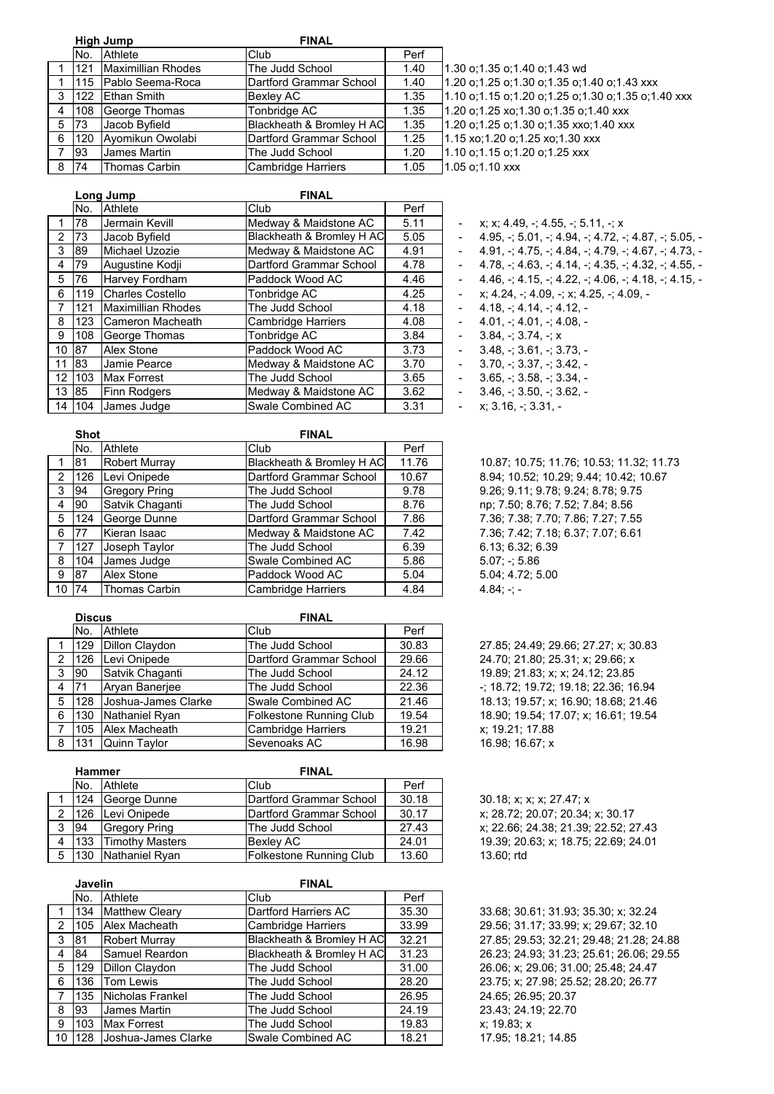|   |     | <b>High Jump</b>     | <b>FINAL</b>              |      |  |
|---|-----|----------------------|---------------------------|------|--|
|   | No. | <b>Athlete</b>       | Club                      | Perf |  |
|   | 121 | Maximillian Rhodes   | The Judd School           | 1.40 |  |
|   | 115 | Pablo Seema-Roca     | Dartford Grammar School   | 1.40 |  |
| 3 | 122 | <b>Ethan Smith</b>   | <b>Bexley AC</b>          | 1.35 |  |
| 4 | 108 | George Thomas        | Tonbridge AC              | 1.35 |  |
| 5 | 73  | Jacob Byfield        | Blackheath & Bromley H AC | 1.35 |  |
| 6 | 120 | Ayomikun Owolabi     | Dartford Grammar School   | 1.25 |  |
| 7 | 93  | James Martin         | The Judd School           | 1.20 |  |
| 8 | 74  | <b>Thomas Carbin</b> | <b>Cambridge Harriers</b> | 1.05 |  |

1.30 o;1.35 o;1.40 o;1.43 wd 1.20 o;1.25 o;1.30 o;1.35 o;1.40 o;1.43 xxx 1.10 o;1.15 o;1.20 o;1.25 o;1.30 o;1.35 o;1.40 xxx 1.20 o;1.25 xo;1.30 o;1.35 o;1.40 xxx 1.20 o;1.25 o;1.30 o;1.35 xxo;1.40 xxx 1.15 xo;1.20 o;1.25 xo;1.30 xxx 1.10 o;1.15 o;1.20 o;1.25 xxx

|                |     | Long Jump                 | <b>FINAL</b>              |      |
|----------------|-----|---------------------------|---------------------------|------|
|                | No. | Athlete                   | Club                      | Perf |
| 1              | 78  | Jermain Kevill            | Medway & Maidstone AC     | 5.11 |
| $\overline{2}$ | 73  | Jacob Byfield             | Blackheath & Bromley H AC | 5.05 |
| 3              | 89  | Michael Uzozie            | Medway & Maidstone AC     | 4.91 |
| 4              | 79  | Augustine Kodji           | Dartford Grammar School   | 4.78 |
| 5              | 76  | Harvey Fordham            | Paddock Wood AC           | 4.46 |
| 6              | 119 | <b>Charles Costello</b>   | Tonbridge AC              | 4.25 |
| $\overline{7}$ | 121 | <b>Maximillian Rhodes</b> | The Judd School           | 4.18 |
| 8              | 123 | Cameron Macheath          | <b>Cambridge Harriers</b> | 4.08 |
| 9              | 108 | George Thomas             | Tonbridge AC              | 3.84 |
| 10             | 187 | Alex Stone                | Paddock Wood AC           | 3.73 |
| 11             | 83  | Jamie Pearce              | Medway & Maidstone AC     | 3.70 |
| 12             | 103 | <b>Max Forrest</b>        | The Judd School           | 3.65 |
| 13             | 85  | Finn Rodgers              | Medway & Maidstone AC     | 3.62 |
| 14             | 104 | James Judge               | Swale Combined AC         | 3.31 |

 $x; x; 4.49, -; 4.55, -; 5.11, -; x$  $4.95. -5.01 + 4.94 + 4.72 + 4.87 + 5.05 4.91, -; 4.75, -; 4.84, -; 4.79, -; 4.67, -; 4.73, -;$  $4.78, -$ ;  $4.63, -$ ;  $4.14, -$ ;  $4.35, -$ ;  $4.32, -$ ;  $4.55, 4.46, -$ ;  $4.15, -$ ;  $4.22, -$ ;  $4.06, -$ ;  $4.18, -$ ;  $4.15,$  $x; 4.24, -; 4.09, -; x; 4.25, -; 4.09, -;$  $4.18, -; 4.14, -; 4.12, 4.01, -; 4.01, -; 4.08, 3.84 - 3.74 + x$  $3.48 + 3.61 + 3.73$ .  $3.70 - 3.37 - 3.42$ , -

- 
- $3.65, -; 3.58, -; 3.34, -$
- $3.46, -; 3.50, -; 3.62, -$
- $x; 3.16, -; 3.31, -$

1.05 o;1.10 xxx

|              | Shot      |                      | <b>FINAL</b>              |       |              |
|--------------|-----------|----------------------|---------------------------|-------|--------------|
|              | No.       | Athlete              | Club                      | Perf  |              |
|              | 81        | Robert Murray        | Blackheath & Bromley H AC | 11.76 | 10.87; 1     |
| 2            | 126       | Levi Onipede         | Dartford Grammar School   | 10.67 | 8.94:10      |
| 3            | 94        | <b>Gregory Pring</b> | The Judd School           | 9.78  | 9.26; 9.1    |
| 4            | <b>90</b> | Satvik Chaganti      | The Judd School           | 8.76  | np; 7.50     |
| 5            | 124       | George Dunne         | Dartford Grammar School   | 7.86  | 7.36; 7.3    |
| 6            | 177       | Kieran Isaac         | Medway & Maidstone AC     | 7.42  | 7.36; 7.4    |
| 7            | 127       | Joseph Taylor        | The Judd School           | 6.39  | 6.13; 6.3    |
| 8            | 104       | James Judge          | Swale Combined AC         | 5.86  | $5.07; -;$   |
| 9            | 87        | Alex Stone           | Paddock Wood AC           | 5.04  | 5.04; 4.7    |
| $10 \mid 74$ |           | Thomas Carbin        | <b>Cambridge Harriers</b> | 4.84  | $4.84; -; -$ |

|   | <b>Discus</b> |                     | <b>FINAL</b>                   |       |  |
|---|---------------|---------------------|--------------------------------|-------|--|
|   | No.           | <b>Athlete</b>      | Club                           | Perf  |  |
|   | 129           | Dillon Claydon      | The Judd School                | 30.83 |  |
| 2 | 126           | Levi Onipede        | Dartford Grammar School        | 29.66 |  |
| 3 | 90            | Satvik Chaganti     | The Judd School                | 24.12 |  |
| 4 | 71            | Arvan Baneriee      | The Judd School                | 22.36 |  |
| 5 | 128           | Joshua-James Clarke | Swale Combined AC              | 21.46 |  |
| 6 | 130           | Nathaniel Ryan      | <b>Folkestone Running Club</b> | 19.54 |  |
|   | 105           | Alex Macheath       | <b>Cambridge Harriers</b>      | 19.21 |  |
| R |               | 131 Ouinn Taylor    | Sevennaks AC                   | 1698  |  |

|   | <b>Hammer</b> |                      | <b>FINAL</b>            |       |              |
|---|---------------|----------------------|-------------------------|-------|--------------|
|   | INo.          | Athlete              | Club                    | Perf  |              |
|   |               | 124 George Dunne     | Dartford Grammar School | 30.18 | 30.18; x:    |
| 2 | 126           | Levi Onipede         | Dartford Grammar School | 30.17 | $x: 28.72$ ; |
| 3 | -94           | Gregory Pring        | The Judd School         | 27.43 | x: 22.66     |
| 4 |               | 133 Timothy Masters  | <b>Bexley AC</b>        | 24.01 | 19.39; 20    |
| 5 |               | 130   Nathaniel Ryan | Folkestone Running Club | 13.60 | 13.60; rtd   |

|   | <b>Javelin</b> |                       | <b>FINAL</b>              |       |
|---|----------------|-----------------------|---------------------------|-------|
|   | No.            | Athlete               | Club                      | Perf  |
|   | 134            | <b>Matthew Cleary</b> | Dartford Harriers AC      | 35.30 |
| 2 | 105            | Alex Macheath         | <b>Cambridge Harriers</b> | 33.99 |
| 3 | 81             | Robert Murray         | Blackheath & Bromley H AC | 32.21 |
| 4 | 84             | Samuel Reardon        | Blackheath & Bromley H AC | 31.23 |
| 5 | 129            | Dillon Claydon        | The Judd School           | 31.00 |
| 6 | 136            | <b>Tom Lewis</b>      | The Judd School           | 28.20 |
| 7 | 135            | Nicholas Frankel      | The Judd School           | 26.95 |
| 8 | 93             | James Martin          | The Judd School           | 24.19 |
| 9 | 103            | <b>Max Forrest</b>    | The Judd School           | 19.83 |
|   | 10   128       | Joshua-James Clarke   | Swale Combined AC         | 18.21 |

10.87; 10.75; 11.76; 10.53; 11.32; 11.73 8.94; 10.52; 10.29; 9.44; 10.42; 10.67 9.26; 9.11; 9.78; 9.24; 8.78; 9.75 np; 7.50; 8.76; 7.52; 7.84; 8.56 7.36; 7.38; 7.70; 7.86; 7.27; 7.55 7.36; 7.42; 7.18; 6.37; 7.07; 6.61 6.13; 6.32; 6.39  $5.07; -; 5.86$ 5.04; 4.72; 5.00

27.85; 24.49; 29.66; 27.27; x; 30.83 24.70; 21.80; 25.31; x; 29.66; x 19.89; 21.83; x; x; 24.12; 23.85 -; 18.72; 19.72; 19.18; 22.36; 16.94 18.13; 19.57; x; 16.90; 18.68; 21.46 18.90; 19.54; 17.07; x; 16.61; 19.54 x; 19.21; 17.88 16.98 16.98; 16.67; x

> 30.18; x; x; x; 27.47; x x; 28.72; 20.07; 20.34; x; 30.17 x; 22.66; 24.38; 21.39; 22.52; 27.43 19.39; 20.63; x; 18.75; 22.69; 24.01

33.68; 30.61; 31.93; 35.30; x; 32.24 29.56; 31.17; 33.99; x; 29.67; 32.10 27 85; 29 53; 32.21; 29 48; 21.28; 24.88 26 23; 24 93; 31 23; 25 61; 26 06; 29 55 26.06; x; 29.06; 31.00; 25.48; 24.47 23.75; x; 27.98; 25.52; 28.20; 26.77 24.65; 26.95; 20.37 23.43; 24.19; 22.70  $x$ ; 19.83;  $x$ 17.95; 18.21; 14.85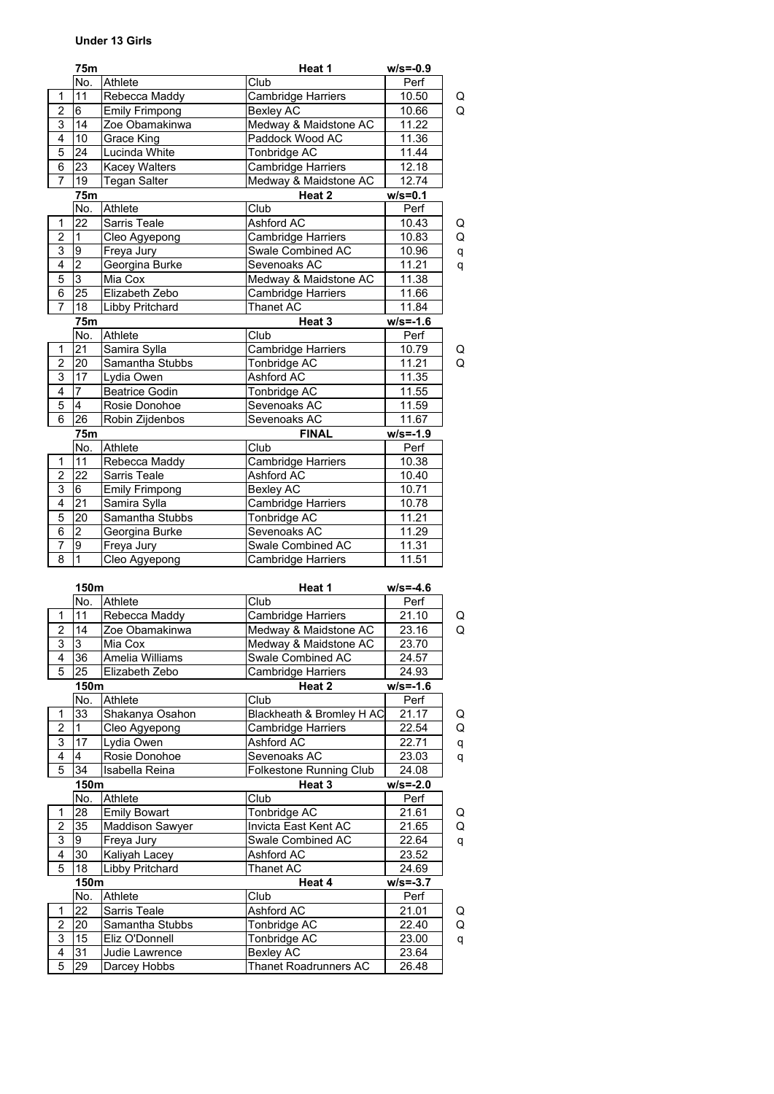## **Under 13 Girls**

|                | 75m               |                       | Heat 1                    | $w/s = -0.9$ |   |
|----------------|-------------------|-----------------------|---------------------------|--------------|---|
|                | No.               | Athlete               | Club                      | Perf         |   |
| 1              | 11                | Rebecca Maddy         | Cambridge Harriers        | 10.50        | Q |
| 2              | 6                 | <b>Emily Frimpong</b> | Bexley AC                 | 10.66        | Q |
| 3              | 14                | Zoe Obamakinwa        | Medway & Maidstone AC     | 11.22        |   |
| $\overline{4}$ | 10                | Grace King            | Paddock Wood AC           | 11.36        |   |
| $\overline{5}$ | 24                | Lucinda White         | Tonbridge AC              | 11.44        |   |
| 6              | 23                | <b>Kacey Walters</b>  | <b>Cambridge Harriers</b> | 12.18        |   |
| $\overline{7}$ | 19                | <b>Tegan Salter</b>   | Medway & Maidstone AC     | 12.74        |   |
|                | 75m               |                       | Heat 2                    | $w/s = 0.1$  |   |
|                | No.               | Athlete               | Club                      | Perf         |   |
| 1              | 22                | Sarris Teale          | Ashford AC                | 10.43        | Q |
| $\overline{2}$ | $\mathbf{1}$      | Cleo Agyepong         | Cambridge Harriers        | 10.83        | Q |
| $\overline{3}$ | 9                 | Freya Jury            | Swale Combined AC         | 10.96        | q |
| $\overline{4}$ | $\overline{2}$    | Georgina Burke        | Sevenoaks AC              | 11.21        | q |
| $\overline{5}$ | $\overline{3}$    | Mia Cox               | Medway & Maidstone AC     | 11.38        |   |
| 6              | 25                | Elizabeth Zebo        | Cambridge Harriers        | 11.66        |   |
| $\overline{7}$ | $\overline{18}$   | Libby Pritchard       | Thanet AC                 | 11.84        |   |
|                | 75m               |                       | Heat <sub>3</sub>         | $w/s = -1.6$ |   |
|                | $\overline{No}$ . | Athlete               | Club                      | Perf         |   |
| 1              | $\overline{21}$   | Samira Sylla          | Cambridge Harriers        | 10.79        | Q |
| $\overline{2}$ | $\overline{20}$   | Samantha Stubbs       | Tonbridge AC              | 11.21        | Q |
| $\overline{3}$ | 17                | Lydia Owen            | Ashford AC                | 11.35        |   |
| $\overline{4}$ | $\overline{7}$    | <b>Beatrice Godin</b> | Tonbridge AC              | 11.55        |   |
| $\overline{5}$ | $\overline{4}$    | Rosie Donohoe         | Sevenoaks AC              | 11.59        |   |
| 6              | 26                | Robin Zijdenbos       | Sevenoaks AC              | 11.67        |   |
|                | 75m               |                       | <b>FINAL</b>              | $w/s = -1.9$ |   |
|                | No.               | Athlete               | Club                      | Perf         |   |
| $\mathbf{1}$   | 11                | Rebecca Maddy         | Cambridge Harriers        | 10.38        |   |
| $\overline{c}$ | 22                | Sarris Teale          | Ashford AC                | 10.40        |   |
| $\overline{3}$ | 6                 | <b>Emily Frimpong</b> | <b>Bexley AC</b>          | 10.71        |   |
| $\overline{4}$ | 21                | Samira Sylla          | Cambridge Harriers        | 10.78        |   |
| $\overline{5}$ | 20                | Samantha Stubbs       | Tonbridge AC              | 11.21        |   |
| $\overline{6}$ | $\overline{2}$    | Georgina Burke        | Sevenoaks AC              | 11.29        |   |
| $\overline{7}$ | 9                 | Freya Jury            | Swale Combined AC         | 11.31        |   |
| $\overline{8}$ | $\mathbf{1}$      | Cleo Agyepong         | Cambridge Harriers        | 11.51        |   |
|                |                   |                       |                           |              |   |

|                     | 150m                               |                                         | Heat 1                                    | $w/s = -4.6$ |        |
|---------------------|------------------------------------|-----------------------------------------|-------------------------------------------|--------------|--------|
|                     | No.                                | Athlete                                 | Club                                      | Perf         |        |
| 1                   | 11                                 | Rebecca Maddy                           | Cambridge Harriers                        | 21.10        | Q      |
| $\overline{2}$      | 14                                 | Zoe Obamakinwa<br>Medway & Maidstone AC |                                           | 23.16        | Q      |
| $\overline{3}$      | 3                                  | Mia Cox                                 | Medway & Maidstone AC                     | 23.70        |        |
| $\overline{4}$      | 36                                 | Amelia Williams                         | Swale Combined AC                         | 24.57        |        |
| $\overline{5}$      | 25                                 | Elizabeth Zebo                          | Cambridge Harriers                        | 24.93        |        |
|                     | 150m                               |                                         | Heat 2                                    | $w/s = -1.6$ |        |
|                     | No.                                | Athlete                                 | Club                                      | Perf         |        |
| 1                   | 33                                 | Shakanya Osahon                         | Blackheath & Bromley H AC                 | 21.17        | Q      |
| $\overline{2}$      | 1                                  | Cleo Agyepong                           | Cambridge Harriers                        | 22.54        | Q      |
| 3                   | 17                                 | Lydia Owen                              | Ashford AC                                | 22.71        | q      |
| 4                   | 4<br>Rosie Donohoe<br>Sevenoaks AC |                                         | 23.03                                     | q            |        |
| $\overline{5}$      | 34                                 | Isabella Reina                          | Folkestone Running Club                   | 24.08        |        |
|                     | 150m                               |                                         | Heat 3                                    | $w/s = -2.0$ |        |
|                     |                                    |                                         |                                           |              |        |
|                     | No.                                | Athlete                                 | Club                                      | Perf         |        |
| 1                   | 28                                 | <b>Emily Bowart</b>                     | Tonbridge AC                              | 21.61        |        |
| $\overline{2}$      | 35                                 | <b>Maddison Sawyer</b>                  | Invicta East Kent AC                      | 21.65        | Q<br>Q |
| 3                   | 9                                  | Freya Jury                              | Swale Combined AC                         | 22.64        | q      |
| 4                   | 30                                 | Kaliyah Lacey                           | Ashford AC                                | 23.52        |        |
| 5                   | 18                                 | Libby Pritchard                         | Thanet AC                                 | 24.69        |        |
|                     | 150m                               |                                         | Heat 4                                    | $w/s = -3.7$ |        |
|                     | No.                                | Athlete                                 | Club                                      | Perf         |        |
| 1                   | 22                                 | Sarris Teale                            | Ashford AC                                | 21.01        | Q      |
| $\overline{2}$      | 20                                 | Samantha Stubbs                         | Tonbridge AC                              | 22.40        |        |
| $\overline{3}$      | 15                                 | Eliz O'Donnell                          | Tonbridge AC                              | 23.00        | Q<br>q |
| 4<br>$\overline{5}$ | 31<br>29                           | Judie Lawrence                          | <b>Bexley AC</b><br>Thanet Roadrunners AC | 23.64        |        |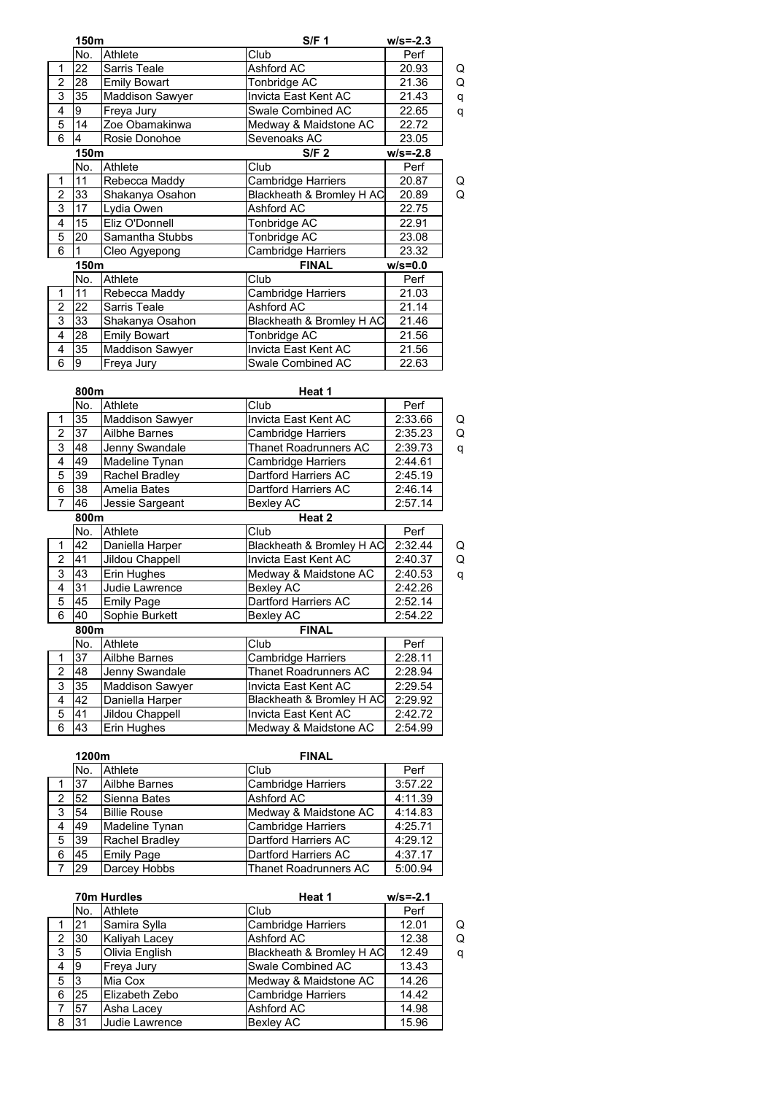|                         | 150m         |                        | S/F <sub>1</sub>             | $w/s = -2.3$ |   |
|-------------------------|--------------|------------------------|------------------------------|--------------|---|
|                         | No.          | Athlete                | Club                         | Perf         |   |
| 1                       | 22           | Sarris Teale           | Ashford AC                   | 20.93        | Q |
| $\overline{2}$          | 28           | <b>Emily Bowart</b>    | Tonbridge AC                 | 21.36        | Q |
| 3                       | 35           | <b>Maddison Sawyer</b> | Invicta East Kent AC         | 21.43        | q |
| 4                       | 9            | Freya Jury             | Swale Combined AC            | 22.65        | q |
| $\overline{5}$          | 14           | Zoe Obamakinwa         | Medway & Maidstone AC        | 22.72        |   |
| 6                       | 4            | Rosie Donohoe          | Sevenoaks AC                 | 23.05        |   |
|                         | 150m         |                        | S/F <sub>2</sub>             | $w/s = -2.8$ |   |
|                         | No.          | Athlete                | Club                         | Perf         |   |
| 1                       | 11           | Rebecca Maddy          | <b>Cambridge Harriers</b>    | 20.87        | Q |
| $\overline{2}$          | 33           | Shakanya Osahon        | Blackheath & Bromley H AC    | 20.89        | Q |
| 3                       | 17           | Lydia Owen             | Ashford AC                   | 22.75        |   |
| $\overline{4}$          | 15           | Eliz O'Donnell         | Tonbridge AC                 | 22.91        |   |
| 5                       | 20           | Samantha Stubbs        | Tonbridge AC                 | 23.08        |   |
| 6                       | $\mathbf{1}$ | Cleo Agyepong          | Cambridge Harriers           | 23.32        |   |
|                         | 150m         |                        | <b>FINAL</b>                 | $w/s = 0.0$  |   |
|                         | No.          | Athlete                | Club                         | Perf         |   |
| 1                       | 11           | Rebecca Maddy          | Cambridge Harriers           | 21.03        |   |
| $\overline{2}$          | 22           | Sarris Teale           | Ashford AC                   | 21.14        |   |
| 3                       | 33           | Shakanya Osahon        | Blackheath & Bromley H AC    | 21.46        |   |
| 4                       | 28           | <b>Emily Bowart</b>    | Tonbridge AC                 | 21.56        |   |
| $\overline{4}$          | 35           | Maddison Sawyer        | Invicta East Kent AC         | 21.56        |   |
| 6                       | 9            | Freya Jury             | Swale Combined AC            | 22.63        |   |
|                         |              |                        |                              |              |   |
|                         | 800m         |                        | Heat 1                       |              |   |
|                         | No.          | Athlete                | Club                         | Perf         |   |
| 1                       | 35           | Maddison Sawyer        | Invicta East Kent AC         | 2:33.66      | Q |
| $\overline{2}$          | 37           | Ailbhe Barnes          | Cambridge Harriers           | 2:35.23      | Q |
| 3                       | 48           | Jenny Swandale         | <b>Thanet Roadrunners AC</b> | 2:39.73      | q |
| 4                       | 49           | Madeline Tynan         | Cambridge Harriers           | 2:44.61      |   |
| 5                       | 39           | Rachel Bradley         | Dartford Harriers AC         | 2:45.19      |   |
| 6                       | 38           | Amelia Bates           | Dartford Harriers AC         | 2:46.14      |   |
| $\overline{7}$          | 46           | Jessie Sargeant        | <b>Bexley AC</b>             | 2:57.14      |   |
|                         | 800m         |                        | Heat 2                       |              |   |
|                         | No.          | Athlete                | Club                         | Perf         |   |
| $\mathbf{1}$            | 42           | Daniella Harper        | Blackheath & Bromley H AC    | 2:32.44      | Q |
| 2                       | 41           | Jildou Chappell        | Invicta East Kent AC         | 2:40.37      | Q |
| 3                       | 43           | Erin Hughes            | Medway & Maidstone AC        | 2:40.53      | q |
| 4                       | 31           | Judie Lawrence         | <b>Bexley AC</b>             | 2:42.26      |   |
| $\overline{5}$          | 45           | <b>Emily Page</b>      | Dartford Harriers AC         | 2:52.14      |   |
| 6                       | 40           | Sophie Burkett         | <b>Bexley AC</b>             | 2:54.22      |   |
|                         | 800m         |                        | <b>FINAL</b>                 |              |   |
|                         | No.          | Athlete                | Club                         | Perf         |   |
| 1                       | 37           | Ailbhe Barnes          | Cambridge Harriers           | 2:28.11      |   |
| $\overline{\mathbf{c}}$ | 48           | Jenny Swandale         | Thanet Roadrunners AC        | 2:28.94      |   |
| 3                       | 35           | Maddison Sawyer        | Invicta East Kent AC         | 2:29.54      |   |
| 4                       | 42           | Daniella Harper        | Blackheath & Bromley H AC    | 2:29.92      |   |
| $\overline{5}$          | 41           | Jildou Chappell        | Invicta East Kent AC         | 2:42.72      |   |
| 6                       | 43           | Erin Hughes            | Medway & Maidstone AC        | 2:54.99      |   |
|                         |              |                        |                              |              |   |
|                         | 1200m        |                        | <b>FINAL</b>                 |              |   |
|                         | No.          | Athlete                | Club                         | Perf         |   |
|                         |              | Ailhho Rarnos          | Cambridge Harriers           | 3.57.22      |   |

|   | No.         | Athlete             | Club                         | Perf    |  |  |
|---|-------------|---------------------|------------------------------|---------|--|--|
|   | 37          | Ailbhe Barnes       | <b>Cambridge Harriers</b>    | 3:57.22 |  |  |
| 2 | 52          | Sienna Bates        | Ashford AC                   | 4:11.39 |  |  |
| 3 | $\sqrt{54}$ | <b>Billie Rouse</b> | Medway & Maidstone AC        | 4:14.83 |  |  |
| 4 | 49          | Madeline Tynan      | <b>Cambridge Harriers</b>    | 4:25.71 |  |  |
| 5 | <b>39</b>   | Rachel Bradley      | Dartford Harriers AC         | 4:29.12 |  |  |
| 6 | 45          | <b>Emily Page</b>   | Dartford Harriers AC         | 4:37.17 |  |  |
|   | 29          | Darcey Hobbs        | <b>Thanet Roadrunners AC</b> | 5:00.94 |  |  |
|   |             |                     |                              |         |  |  |

|                | <b>70m Hurdles</b> |                | Heat 1                    | $w/s = -2.1$ |   |
|----------------|--------------------|----------------|---------------------------|--------------|---|
|                | No.                | Athlete        | Club                      | Perf         |   |
|                | 21                 | Samira Sylla   | <b>Cambridge Harriers</b> | 12.01        | Q |
| $\mathfrak{p}$ | 30                 | Kaliyah Lacey  | Ashford AC                | 12.38        | Q |
| 3              | 5                  | Olivia English | Blackheath & Bromley H AC | 12.49        | q |
| 4              | 9                  | Freya Jury     | Swale Combined AC         | 13.43        |   |
| 5              | 3                  | Mia Cox        | Medway & Maidstone AC     | 14.26        |   |
| 6              | 25                 | Elizabeth Zebo | <b>Cambridge Harriers</b> | 14.42        |   |
|                | 57                 | Asha Lacey     | Ashford AC                | 14.98        |   |
| 8              | 31                 | Judie Lawrence | <b>Bexley AC</b>          | 15.96        |   |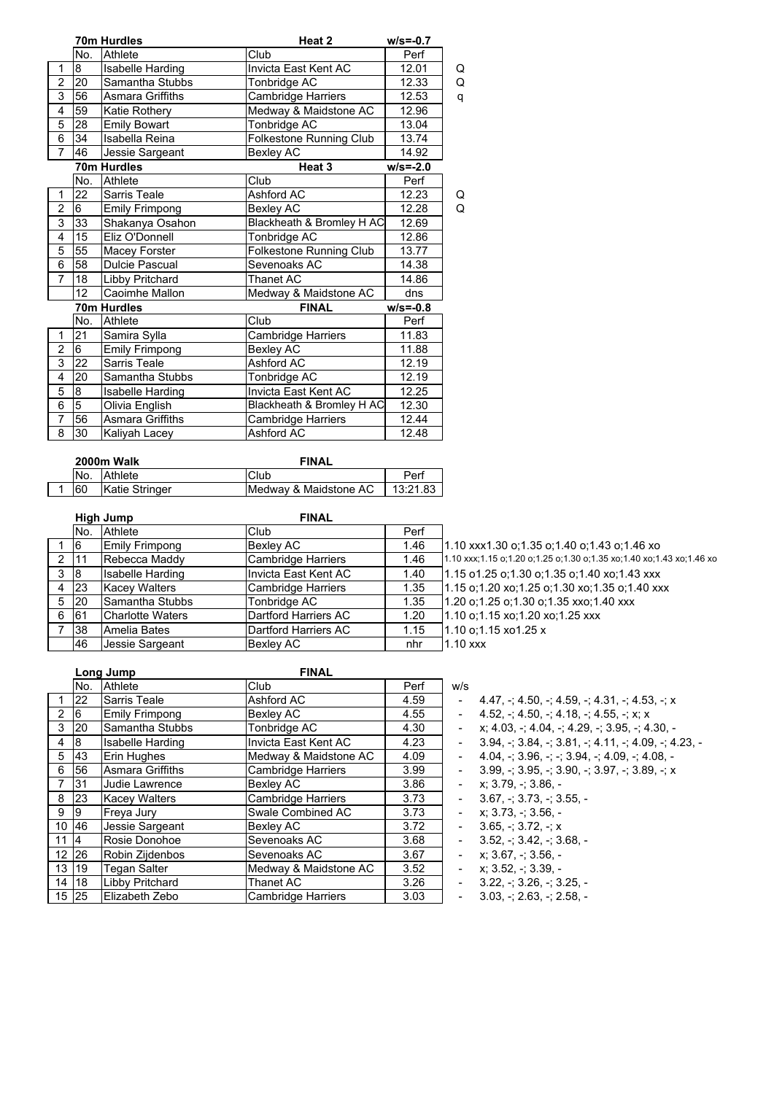|                |                | 70m Hurdles             | Heat 2                         | $w/s = -0.7$ |   |
|----------------|----------------|-------------------------|--------------------------------|--------------|---|
|                | No.            | Athlete                 | Club                           | Perf         |   |
| 1              | 8              | Isabelle Harding        | Invicta East Kent AC           | 12.01        | Q |
| $\overline{2}$ | 20             | Samantha Stubbs         | Tonbridge AC                   | 12.33        | Q |
| 3              | 56             | <b>Asmara Griffiths</b> | Cambridge Harriers             | 12.53        | q |
| 4              | 59             | Katie Rothery           | Medway & Maidstone AC          | 12.96        |   |
| 5              | 28             | <b>Emily Bowart</b>     | Tonbridge AC                   | 13.04        |   |
| 6              | 34             | Isabella Reina          | Folkestone Running Club        | 13.74        |   |
| $\overline{7}$ | 46             | Jessie Sargeant         | <b>Bexley AC</b>               | 14.92        |   |
|                |                | 70m Hurdles             | Heat <sub>3</sub>              | $w/s = -2.0$ |   |
|                | No.            | Athlete                 | Club                           | Perf         |   |
| 1              | 22             | Sarris Teale            | Ashford AC                     | 12.23        | Q |
| $\overline{2}$ | 6              | <b>Emily Frimpong</b>   | Bexley AC                      | 12.28        | Q |
| 3              | 33             | Shakanya Osahon         | Blackheath & Bromley H AC      | 12.69        |   |
| $\overline{4}$ | 15             | Eliz O'Donnell          | Tonbridge AC                   | 12.86        |   |
| 5              | 55             | Macey Forster           | <b>Folkestone Running Club</b> | 13.77        |   |
| $\overline{6}$ | 58             | <b>Dulcie Pascual</b>   | Sevenoaks AC                   | 14.38        |   |
| $\overline{7}$ | 18             | Libby Pritchard         | Thanet AC                      | 14.86        |   |
|                | 12             | Caoimhe Mallon          | Medway & Maidstone AC          | dns          |   |
|                |                | 70m Hurdles             | <b>FINAL</b>                   | $w/s = -0.8$ |   |
|                | No.            | Athlete                 | Club                           | Perf         |   |
| 1              | 21             | Samira Sylla            | Cambridge Harriers             | 11.83        |   |
| $\overline{2}$ | 6              | <b>Emily Frimpong</b>   | Bexley AC                      | 11.88        |   |
| 3              | 22             | Sarris Teale            | Ashford AC                     | 12.19        |   |
| 4              | 20             | Samantha Stubbs         | Tonbridge AC                   | 12.19        |   |
| 5              | 8              | <b>Isabelle Harding</b> | Invicta East Kent AC           | 12.25        |   |
| 6              | $\overline{5}$ | Olivia English          | Blackheath & Bromley H AC      | 12.30        |   |
| 7              | 56             | <b>Asmara Griffiths</b> | Cambridge Harriers             | 12.44        |   |
| 8              | 30             | Kaliyah Lacey           | Ashford AC                     | 12.48        |   |

| 2000m Walk |                | <b>FINAL</b>          |          |
|------------|----------------|-----------------------|----------|
|            | No. Athlete    | <b>Club</b>           | Perf     |
| <b>60</b>  | Katie Stringer | Medway & Maidstone AC | 13:21.83 |

|   |              | High Jump               | <b>FINAL</b>         |      |                                                                      |
|---|--------------|-------------------------|----------------------|------|----------------------------------------------------------------------|
|   | No.          | Athlete                 | Club                 | Perf |                                                                      |
|   | 16           | <b>Emily Frimpong</b>   | <b>Bexley AC</b>     | 1.46 | 1.10 xxx1.30 o:1.35 o:1.40 o:1.43 o:1.46 xo                          |
| 2 | l 11         | Rebecca Maddy           | Cambridge Harriers   | 1.46 | 1.10 xxx;1.15 o;1.20 o;1.25 o;1.30 o;1.35 xo;1.40 xo;1.43 xo;1.46 xo |
| 3 | 8            | <b>Isabelle Harding</b> | Invicta East Kent AC | 1.40 | 1.15 o1.25 o:1.30 o:1.35 o:1.40 xo:1.43 xxx                          |
| 4 | 23           | <b>Kacey Walters</b>    | Cambridge Harriers   | 1.35 | 1.15 o:1.20 xo:1.25 o:1.30 xo:1.35 o:1.40 xxx                        |
| 5 | $ 20\rangle$ | Samantha Stubbs         | Tonbridge AC         | 1.35 | 1.20 o:1.25 o:1.30 o:1.35 xxo:1.40 xxx                               |
| 6 | 61           | Charlotte Waters        | Dartford Harriers AC | 1.20 | 1.10 o;1.15 xo;1.20 xo;1.25 xxx                                      |
|   | 38           | IAmelia Bates           | Dartford Harriers AC | 1.15 | 1.10 o:1.15 xo1.25 x                                                 |
|   | 46           | Jessie Sargeant         | <b>Bexley AC</b>     | nhr  | $1.10$ xxx                                                           |

|                |           | Long Jump               | <b>FINAL</b>              |      |        |                              |
|----------------|-----------|-------------------------|---------------------------|------|--------|------------------------------|
|                | No.       | Athlete                 | Club                      | Perf | w/s    |                              |
|                | 22        | Sarris Teale            | Ashford AC                | 4.59 |        | $4.47 + 4.50 + 4.59$         |
| 2              | 16        | <b>Emily Frimpong</b>   | <b>Bexley AC</b>          | 4.55 |        | $4.52. - 4.50. - 4.18. -$    |
| 3              | 20        | Samantha Stubbs         | Tonbridge AC              | 4.30 |        | $x$ ; 4.03, -; 4.04, -; 4.29 |
| 4              | 8         | Isabelle Harding        | Invicta East Kent AC      | 4.23 |        | 3.94. : 3.84. : 3.81.        |
| 5              | <b>43</b> | Erin Hughes             | Medway & Maidstone AC     | 4.09 |        | $4.04:3.96:-(3.94)$          |
| 6              | 56        | <b>Asmara Griffiths</b> | <b>Cambridge Harriers</b> | 3.99 |        | $3.99. -3.95. -3.90. -$      |
| $\overline{7}$ | 31        | Judie Lawrence          | <b>Bexley AC</b>          | 3.86 |        | x: 3.79. -: 3.86. -          |
| 8              | 23        | <b>Kacey Walters</b>    | <b>Cambridge Harriers</b> | 3.73 | $\sim$ | $3.67 + 3.73 + 3.55$ .       |
| 9              | 19        | Freya Jury              | Swale Combined AC         | 3.73 |        | x: 3.73. -: 3.56. -          |
| 10 46          |           | Jessie Sargeant         | <b>Bexlev AC</b>          | 3.72 |        | $3.65 - 3.72 - x$            |
| 11             | $\vert 4$ | Rosie Donohoe           | Sevenoaks AC              | 3.68 |        | $3.52, -3.42, -3.68$ ,       |
| 12 26          |           | Robin Zijdenbos         | Sevenoaks AC              | 3.67 |        | $x: 3.67 + 3.56 -$           |
|                | 13 19     | <b>Tegan Salter</b>     | Medway & Maidstone AC     | 3.52 |        | $x: 3.52 - 3.39$             |
| 14             | 18        | Libby Pritchard         | Thanet AC                 | 3.26 |        | $3.22, -3.26, -3.25, -1$     |
|                | 15 25     | Elizabeth Zebo          | <b>Cambridge Harriers</b> | 3.03 |        | $3.03. - 2.63. - 2.58.$      |

 $-4.47, -; 4.50, -; 4.59, -; 4.31, -; 4.53, -; x$ 

 $-4.52, -; 4.50, -; 4.18, -; 4.55, -; x; x$ 

 $x; 4.03, -; 4.04, -; 4.29, -; 3.95, -; 4.30, -$ 

 $-3.94, -; 3.84, -; 3.81, -; 4.11, -; 4.09, -; 4.23, -$ 

- $-4.04, -; 3.96, -; -; 3.94, -; 4.09, -; 4.08, -$
- 6 56  $-$  3.99, -; 3.95, -; 3.90, -; 3.97, -; 3.89, -; x
- $-$  x; 3.79,  $-$ ; 3.86,  $-$
- $-3.67, -; 3.73, -; 3.55, -;$
- $-$  x; 3.73, -; 3.56, -
- $-3.65, -; 3.72, -; x$
- $-3.52, -; 3.42, -; 3.68, -$
- $-$  x; 3.67,  $-$ ; 3.56, -
- $-$  x; 3.52,  $-$ ; 3.39,  $-$
- 
-